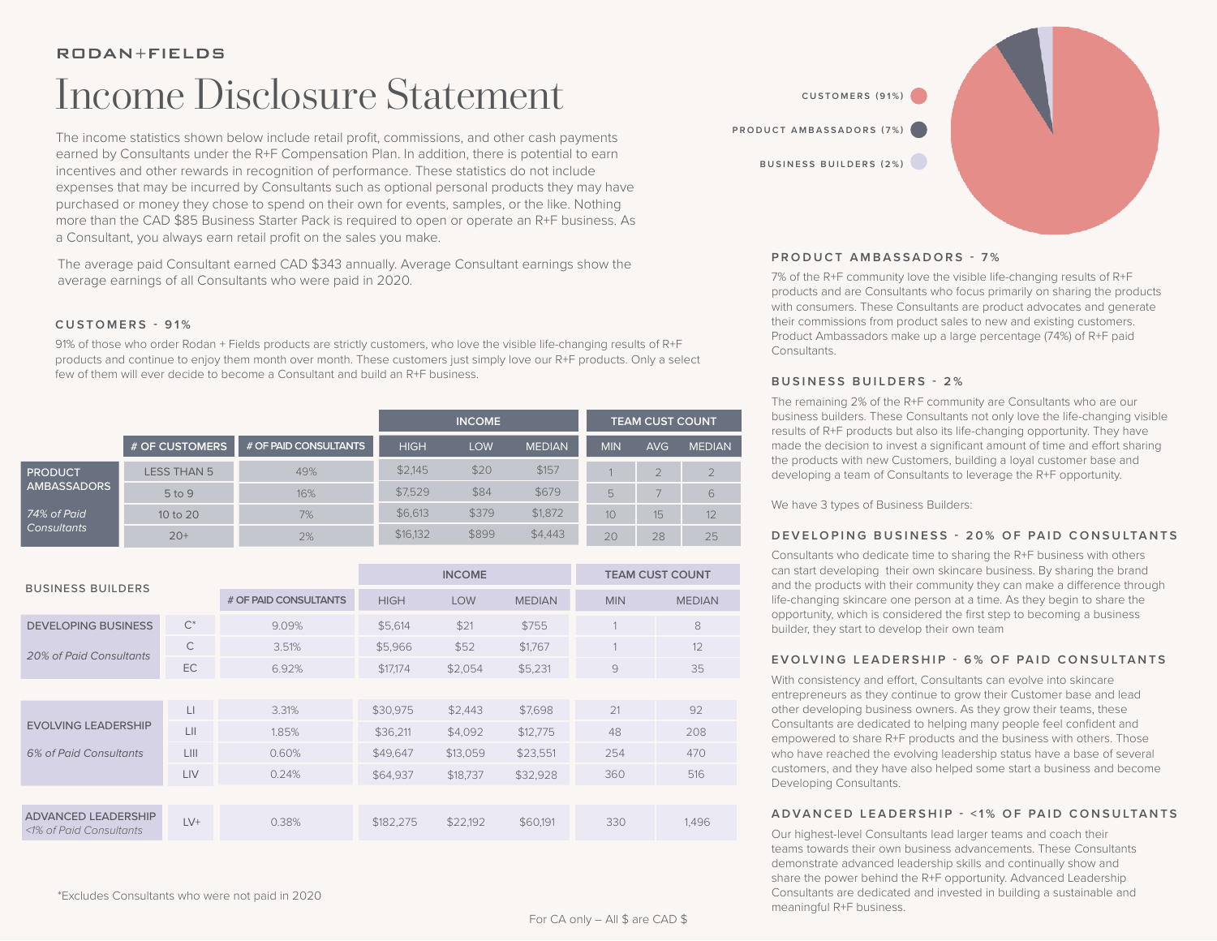# Income Disclosure Statement

The income statistics shown below include retail profit, commissions, and other cash payments earned by Consultants under the R+F Compensation Plan. In addition, there is potential to earn incentives and other rewards in recognition of performance. These statistics do not include expenses that may be incurred by Consultants such as optional personal products they may have purchased or money they chose to spend on their own for events, samples, or the like. Nothing more than the CAD \$85 Business Starter Pack is required to open or operate an R+F business. As a Consultant, you always earn retail profit on the sales you make.

The average paid Consultant earned CAD \$343 annually. Average Consultant earnings show the average earnings of all Consultants who were paid in 2020.

## **CUSTOMERS - 91%**

91% of those who order Rodan + Fields products are strictly customers, who love the visible life-changing results of R+F products and continue to enjoy them month over month. These customers just simply love our R+F products. Only a select few of them will ever decide to become a Consultant and build an R+F business.

|                               |                    |                       | <b>INCOME</b> |            |               | <b>TEAM CUST COUNT</b> |            |               |
|-------------------------------|--------------------|-----------------------|---------------|------------|---------------|------------------------|------------|---------------|
|                               | # OF CUSTOMERS     | # OF PAID CONSULTANTS | <b>HIGH</b>   | <b>LOW</b> | <b>MEDIAN</b> | <b>MIN</b>             | <b>AVG</b> | <b>MEDIAN</b> |
| <b>PRODUCT</b><br>AMBASSADORS | <b>LESS THAN 5</b> | 49%                   | \$2,145       | \$20       | \$157         |                        |            |               |
|                               | 5 to 9             | 16%                   | \$7.529       | \$84       | \$679         | 5                      |            | 6             |
| 74% of Paid<br>Consultants    | 10 to 20           | 7%                    | \$6,613       | \$379      | \$1,872       | 10                     | 15         | 12            |
|                               | $20+$              | 2%                    | \$16,132      | \$899      | \$4,443       | 20                     | 28         | 25            |

|                                                       |       |                       | <b>INCOME</b> |            |               | <b>TEAM CUST COUNT</b> |               |  |
|-------------------------------------------------------|-------|-----------------------|---------------|------------|---------------|------------------------|---------------|--|
| <b>BUSINESS BUILDERS</b>                              |       | # OF PAID CONSULTANTS | <b>HIGH</b>   | <b>LOW</b> | <b>MEDIAN</b> | <b>MIN</b>             | <b>MEDIAN</b> |  |
| <b>DEVELOPING BUSINESS</b>                            | $C^*$ | 9.09%                 | \$5,614       | \$21       | \$755         |                        | 8             |  |
| <b>20% of Paid Consultants</b>                        | C     | 3.51%                 | \$5,966       | \$52       | \$1,767       |                        | 12            |  |
|                                                       | EC    | 6.92%                 | \$17.174      | \$2,054    | \$5,231       | $\overline{9}$         | 35            |  |
|                                                       |       |                       |               |            |               |                        |               |  |
|                                                       | Ц     | 3.31%                 | \$30,975      | \$2,443    | \$7,698       | 21                     | 92            |  |
| <b>EVOLVING LEADERSHIP</b>                            | LII   | 1.85%                 | \$36.211      | \$4.092    | \$12,775      | 48                     | 208           |  |
| 6% of Paid Consultants                                | LIII  | 0.60%                 | \$49,647      | \$13,059   | \$23,551      | 254                    | 470           |  |
|                                                       | LIV   | 0.24%                 | \$64,937      | \$18,737   | \$32,928      | 360                    | 516           |  |
|                                                       |       |                       |               |            |               |                        |               |  |
| <b>ADVANCED LEADERSHIP</b><br><1% of Paid Consultants | $LV+$ | 0.38%                 | \$182,275     | \$22,192   | \$60,191      | 330                    | 1,496         |  |



### **PRODUCT AMBASSADORS - 7%**

7% of the R+F community love the visible life-changing results of R+F products and are Consultants who focus primarily on sharing the products with consumers. These Consultants are product advocates and generate their commissions from product sales to new and existing customers. Product Ambassadors make up a large percentage (74%) of R+F paid Consultants.

### **BUSINESS BUILDERS - 2%**

The remaining 2% of the R+F community are Consultants who are our business builders. These Consultants not only love the life-changing visible results of R+F products but also its life-changing opportunity. They have made the decision to invest a significant amount of time and effort sharing the products with new Customers, building a loyal customer base and developing a team of Consultants to leverage the R+F opportunity.

We have 3 types of Business Builders:

## **DEVELOPING BUSINESS - 20% OF PAID CONSULTANTS**

Consultants who dedicate time to sharing the R+F business with others can start developing their own skincare business. By sharing the brand and the products with their community they can make a difference through life-changing skincare one person at a time. As they begin to share the opportunity, which is considered the first step to becoming a business builder, they start to develop their own team

## **EVOLVING LEADERSHIP - 6% OF PAID CONSULTANTS**

With consistency and effort, Consultants can evolve into skincare entrepreneurs as they continue to grow their Customer base and lead other developing business owners. As they grow their teams, these Consultants are dedicated to helping many people feel confident and empowered to share R+F products and the business with others. Those who have reached the evolving leadership status have a base of several customers, and they have also helped some start a business and become Developing Consultants.

## **ADVANCED LEADERSHIP - <1% OF PAID CONSULTANTS**

Our highest-level Consultants lead larger teams and coach their teams towards their own business advancements. These Consultants demonstrate advanced leadership skills and continually show and share the power behind the R+F opportunity. Advanced Leadership Consultants are dedicated and invested in building a sustainable and meaningful R+F business.